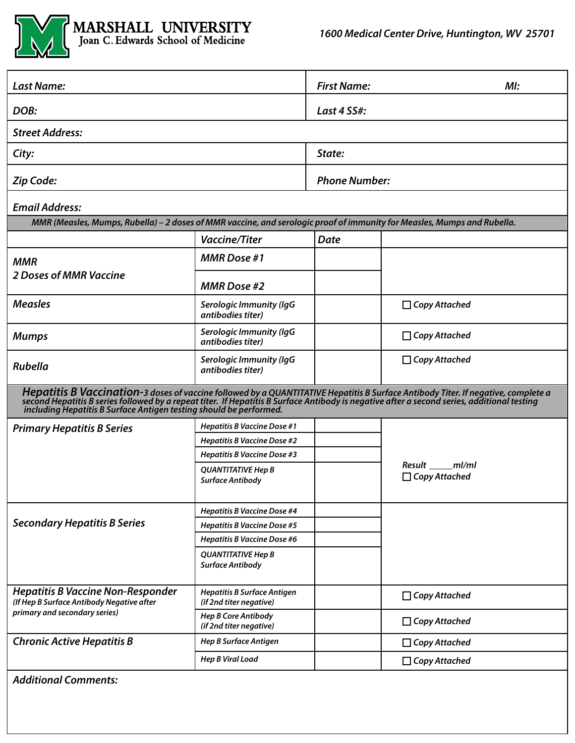

| <b>Last Name:</b>                                                                                                                                                                                                                                                                                                                                      |                                                               | <b>First Name:</b>   | M!                                   |  |  |
|--------------------------------------------------------------------------------------------------------------------------------------------------------------------------------------------------------------------------------------------------------------------------------------------------------------------------------------------------------|---------------------------------------------------------------|----------------------|--------------------------------------|--|--|
| DOB:                                                                                                                                                                                                                                                                                                                                                   |                                                               | Last 4 SS#:          |                                      |  |  |
| <b>Street Address:</b>                                                                                                                                                                                                                                                                                                                                 |                                                               |                      |                                      |  |  |
| City:                                                                                                                                                                                                                                                                                                                                                  |                                                               | State:               |                                      |  |  |
| Zip Code:                                                                                                                                                                                                                                                                                                                                              |                                                               | <b>Phone Number:</b> |                                      |  |  |
| <b>Email Address:</b>                                                                                                                                                                                                                                                                                                                                  |                                                               |                      |                                      |  |  |
| MMR (Measles, Mumps, Rubella) - 2 doses of MMR vaccine, and serologic proof of immunity for Measles, Mumps and Rubella.                                                                                                                                                                                                                                |                                                               |                      |                                      |  |  |
|                                                                                                                                                                                                                                                                                                                                                        | <b>Vaccine/Titer</b>                                          | <b>Date</b>          |                                      |  |  |
| <b>MMR</b><br><b>2 Doses of MMR Vaccine</b>                                                                                                                                                                                                                                                                                                            | <b>MMR</b> Dose #1                                            |                      |                                      |  |  |
|                                                                                                                                                                                                                                                                                                                                                        | <b>MMR Dose #2</b>                                            |                      |                                      |  |  |
| <b>Measles</b>                                                                                                                                                                                                                                                                                                                                         | <b>Serologic Immunity (IgG</b><br>antibodies titer)           |                      | $\Box$ Copy Attached                 |  |  |
| <b>Mumps</b>                                                                                                                                                                                                                                                                                                                                           | <b>Serologic Immunity (IgG</b><br>antibodies titer)           |                      | $\Box$ Copy Attached                 |  |  |
| <b>Rubella</b>                                                                                                                                                                                                                                                                                                                                         | <b>Serologic Immunity (IgG</b><br>antibodies titer)           |                      | $\Box$ Copy Attached                 |  |  |
| Hepatitis B Vaccination-3 doses of vaccine followed by a QUANTITATIVE Hepatitis B Surface Antibody Titer. If negative, complete a<br>second Hepatitis B series followed by a repeat titer. If Hepatitis B Surface Antibody is negative after a second series, additional testing<br>including Hepatitis B Surface Antigen testing should be performed. |                                                               |                      |                                      |  |  |
| <b>Primary Hepatitis B Series</b>                                                                                                                                                                                                                                                                                                                      | <b>Hepatitis B Vaccine Dose #1</b>                            |                      |                                      |  |  |
|                                                                                                                                                                                                                                                                                                                                                        | <b>Hepatitis B Vaccine Dose #2</b>                            |                      |                                      |  |  |
|                                                                                                                                                                                                                                                                                                                                                        | <b>Hepatitis B Vaccine Dose #3</b>                            |                      |                                      |  |  |
|                                                                                                                                                                                                                                                                                                                                                        | <b>QUANTITATIVE Hep B</b><br><b>Surface Antibody</b>          |                      | Result ml/ml<br>$\Box$ Copy Attached |  |  |
|                                                                                                                                                                                                                                                                                                                                                        | <b>Hepatitis B Vaccine Dose #4</b>                            |                      |                                      |  |  |
| <b>Secondary Hepatitis B Series</b>                                                                                                                                                                                                                                                                                                                    | <b>Hepatitis B Vaccine Dose #5</b>                            |                      |                                      |  |  |
|                                                                                                                                                                                                                                                                                                                                                        | <b>Hepatitis B Vaccine Dose #6</b>                            |                      |                                      |  |  |
|                                                                                                                                                                                                                                                                                                                                                        | <b>QUANTITATIVE Hep B</b><br><b>Surface Antibody</b>          |                      |                                      |  |  |
| <b>Hepatitis B Vaccine Non-Responder</b><br>(If Hep B Surface Antibody Negative after<br>primary and secondary series)                                                                                                                                                                                                                                 | <b>Hepatitis B Surface Antigen</b><br>(if 2nd titer negative) |                      | $\Box$ Copy Attached                 |  |  |
|                                                                                                                                                                                                                                                                                                                                                        | <b>Hep B Core Antibody</b><br>(if 2nd titer negative)         |                      | $\Box$ Copy Attached                 |  |  |
| <b>Chronic Active Hepatitis B</b>                                                                                                                                                                                                                                                                                                                      | <b>Hep B Surface Antigen</b>                                  |                      | $\Box$ Copy Attached                 |  |  |
|                                                                                                                                                                                                                                                                                                                                                        | <b>Hep B Viral Load</b>                                       |                      | $\Box$ Copy Attached                 |  |  |
| <b>Additional Comments:</b>                                                                                                                                                                                                                                                                                                                            |                                                               |                      |                                      |  |  |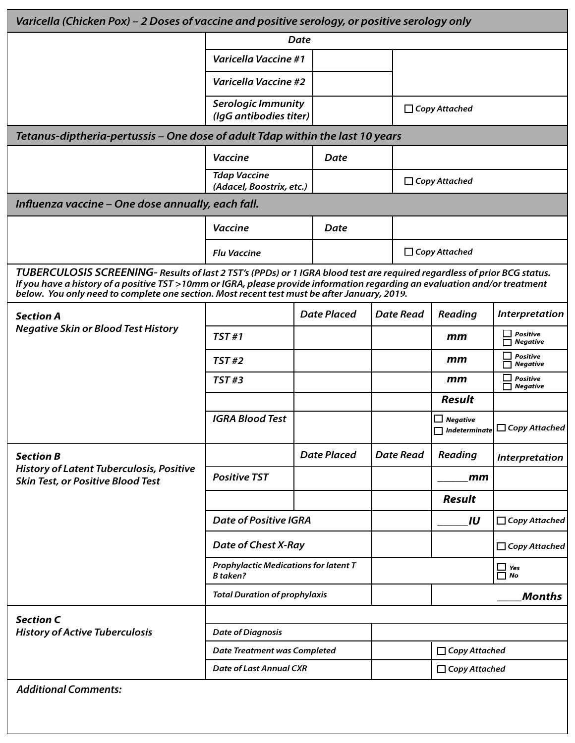| Varicella (Chicken Pox) – 2 Doses of vaccine and positive serology, or positive serology only                                                                                                                                                                                                                                                         |                                                                 |  |                    |                  |                             |                         |                                                           |  |
|-------------------------------------------------------------------------------------------------------------------------------------------------------------------------------------------------------------------------------------------------------------------------------------------------------------------------------------------------------|-----------------------------------------------------------------|--|--------------------|------------------|-----------------------------|-------------------------|-----------------------------------------------------------|--|
|                                                                                                                                                                                                                                                                                                                                                       | Date                                                            |  |                    |                  |                             |                         |                                                           |  |
|                                                                                                                                                                                                                                                                                                                                                       | <b>Varicella Vaccine #1</b>                                     |  |                    |                  |                             |                         |                                                           |  |
|                                                                                                                                                                                                                                                                                                                                                       | <b>Varicella Vaccine #2</b>                                     |  |                    |                  |                             |                         |                                                           |  |
|                                                                                                                                                                                                                                                                                                                                                       | <b>Serologic Immunity</b><br>(IgG antibodies titer)             |  |                    |                  | $\Box$ Copy Attached        |                         |                                                           |  |
| Tetanus-diptheria-pertussis – One dose of adult Tdap within the last 10 years                                                                                                                                                                                                                                                                         |                                                                 |  |                    |                  |                             |                         |                                                           |  |
|                                                                                                                                                                                                                                                                                                                                                       | <b>Vaccine</b>                                                  |  | <b>Date</b>        |                  |                             |                         |                                                           |  |
|                                                                                                                                                                                                                                                                                                                                                       | <b>Tdap Vaccine</b><br>(Adacel, Boostrix, etc.)                 |  |                    |                  |                             | $\Box$ Copy Attached    |                                                           |  |
| Influenza vaccine – One dose annually, each fall.                                                                                                                                                                                                                                                                                                     |                                                                 |  |                    |                  |                             |                         |                                                           |  |
|                                                                                                                                                                                                                                                                                                                                                       | <b>Vaccine</b>                                                  |  | <b>Date</b>        |                  |                             |                         |                                                           |  |
|                                                                                                                                                                                                                                                                                                                                                       | <b>Flu Vaccine</b>                                              |  |                    |                  |                             | $\Box$ Copy Attached    |                                                           |  |
| TUBERCULOSIS SCREENING- Results of last 2 TST's (PPDs) or 1 IGRA blood test are required regardless of prior BCG status.<br>If you have a history of a positive TST >10mm or IGRA, please provide information regarding an evaluation and/or treatment<br>below. You only need to complete one section. Most recent test must be after January, 2019. |                                                                 |  |                    |                  |                             |                         |                                                           |  |
| <b>Section A</b>                                                                                                                                                                                                                                                                                                                                      |                                                                 |  | <b>Date Placed</b> |                  | <b>Date Read</b><br>Reading |                         | <b>Interpretation</b>                                     |  |
| <b>Negative Skin or Blood Test History</b>                                                                                                                                                                                                                                                                                                            | <b>TST#1</b>                                                    |  |                    |                  |                             | mm                      | <b>Positive</b><br><b>Negative</b>                        |  |
|                                                                                                                                                                                                                                                                                                                                                       | TST#2                                                           |  |                    |                  |                             | mm                      | <b>Positive</b><br><b>Negative</b>                        |  |
|                                                                                                                                                                                                                                                                                                                                                       | <b>TST#3</b>                                                    |  |                    |                  |                             | mm                      | <b>Positive</b><br><b>Negative</b>                        |  |
|                                                                                                                                                                                                                                                                                                                                                       |                                                                 |  |                    |                  |                             | <b>Result</b>           |                                                           |  |
|                                                                                                                                                                                                                                                                                                                                                       | <b>IGRA Blood Test</b>                                          |  |                    |                  |                             | $\Box$ Negative         | $\boxed{\Box}$ Indeterminate $\boxed{\Box}$ Copy Attached |  |
| <b>Section B</b><br><b>History of Latent Tuberculosis, Positive</b><br><b>Skin Test, or Positive Blood Test</b>                                                                                                                                                                                                                                       |                                                                 |  | <b>Date Placed</b> | <b>Date Read</b> |                             | <b>Reading</b>          | Interpretation                                            |  |
|                                                                                                                                                                                                                                                                                                                                                       | <b>Positive TST</b>                                             |  |                    |                  |                             | mm                      |                                                           |  |
|                                                                                                                                                                                                                                                                                                                                                       |                                                                 |  |                    |                  |                             | <b>Result</b>           |                                                           |  |
|                                                                                                                                                                                                                                                                                                                                                       | <b>Date of Positive IGRA</b>                                    |  |                    |                  |                             | IU                      | $\Box$ Copy Attached                                      |  |
|                                                                                                                                                                                                                                                                                                                                                       | Date of Chest X-Ray                                             |  |                    |                  |                             | $\Box$ Copy Attached    |                                                           |  |
|                                                                                                                                                                                                                                                                                                                                                       | <b>Prophylactic Medications for latent T</b><br><b>B</b> taken? |  |                    |                  |                             | $\prod_{\text{No}}$ Yes |                                                           |  |
|                                                                                                                                                                                                                                                                                                                                                       | <b>Total Duration of prophylaxis</b>                            |  |                    |                  |                             |                         | <b>Months</b>                                             |  |
| <b>Section C</b>                                                                                                                                                                                                                                                                                                                                      |                                                                 |  |                    |                  |                             |                         |                                                           |  |
| <b>History of Active Tuberculosis</b>                                                                                                                                                                                                                                                                                                                 | <b>Date of Diagnosis</b>                                        |  |                    |                  |                             |                         |                                                           |  |
|                                                                                                                                                                                                                                                                                                                                                       | <b>Date Treatment was Completed</b>                             |  |                    |                  | $\Box$ Copy Attached        |                         |                                                           |  |
|                                                                                                                                                                                                                                                                                                                                                       | <b>Date of Last Annual CXR</b>                                  |  |                    |                  |                             | $\Box$ Copy Attached    |                                                           |  |
| <b>Additional Comments:</b>                                                                                                                                                                                                                                                                                                                           |                                                                 |  |                    |                  |                             |                         |                                                           |  |